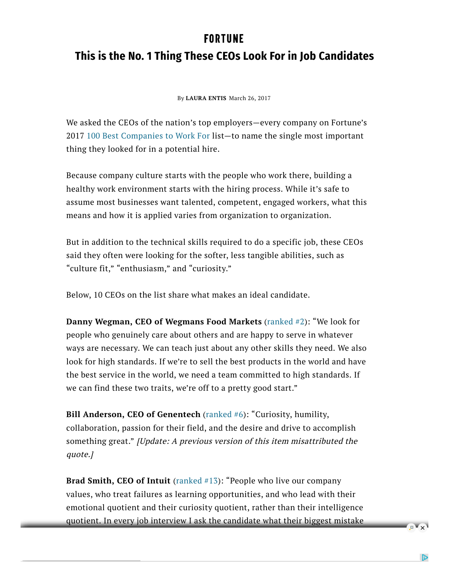## **FORTUNE**

## **This is the No. 1 Thing These CEOs Look For in Job Candidates**

By **LAURA ENTIS** March 26, 2017

We asked the CEOs of the nation's top employers—every company on Fortune's 2017 100 Best Companies to Work For list—to name the single most important thing they looked for in a potential hire.

Because company culture starts with the people who work there, building a healthy work environment starts with the hiring process. While it's safe to assume most businesses want talented, competent, engaged workers, what this means and how it is applied varies from organization to organization.

But in addition to the technical skills required to do a specific job, these CEOs said they often were looking for the softer, less tangible abilities, such as "culture fit," "enthusiasm," and "curiosity."

Below, 10 CEOs on the list share what makes an ideal candidate.

**Danny Wegman, CEO of Wegmans Food Markets** (ranked #2): "We look for people who genuinely care about others and are happy to serve in whatever ways are necessary. We can teach just about any other skills they need. We also look for high standards. If we're to sell the best products in the world and have the best service in the world, we need a team committed to high standards. If we can find these two traits, we're off to a pretty good start."

**Bill Anderson, CEO of Genentech** (ranked #6): "Curiosity, humility, collaboration, passion for their field, and the desire and drive to accomplish something great." [Update: A previous version of this item misattributed the quote.]

**Brad Smith, CEO of Intuit** (ranked #13): "People who live our company values, who treat failures as learning opportunities, and who lead with their emotional quotient and their curiosity quotient, rather than their intelligence quotient. In every job interview I ask the candidate what their biggest mistake

 $\overline{\mathbb{R}^n}$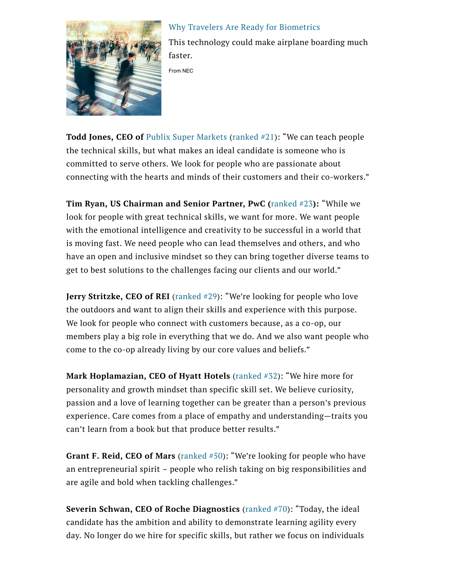

Why Travelers Are Ready for Biometrics This technology could make airplane boarding much

faster. From NEC

**Todd Jones, CEO of** Publix Super Markets (ranked #21): "We can teach people the technical skills, but what makes an ideal candidate is someone who is committed to serve others. We look for people who are passionate about connecting with the hearts and minds of their customers and their co-workers."

**Tim Ryan, US Chairman and Senior Partner, PwC (**ranked #23**):** "While we look for people with great technical skills, we want for more. We want people with the emotional intelligence and creativity to be successful in a world that is moving fast. We need people who can lead themselves and others, and who have an open and inclusive mindset so they can bring together diverse teams to get to best solutions to the challenges facing our clients and our world."

**Jerry Stritzke, CEO of REI** (ranked #29): "We're looking for people who love the outdoors and want to align their skills and experience with this purpose. We look for people who connect with customers because, as a co-op, our members play a big role in everything that we do. And we also want people who come to the co-op already living by our core values and beliefs."

**Mark Hoplamazian, CEO of Hyatt Hotels** (ranked #32): "We hire more for personality and growth mindset than specific skill set. We believe curiosity, passion and a love of learning together can be greater than a person's previous experience. Care comes from a place of empathy and understanding—traits you can't learn from a book but that produce better results."

**Grant F. Reid, CEO of Mars** (ranked #50): "We're looking for people who have an entrepreneurial spirit – people who relish taking on big responsibilities and are agile and bold when tackling challenges."

**Severin Schwan, CEO of Roche Diagnostics** (ranked #70): "Today, the ideal candidate has the ambition and ability to demonstrate learning agility every day. No longer do we hire for specific skills, but rather we focus on individuals